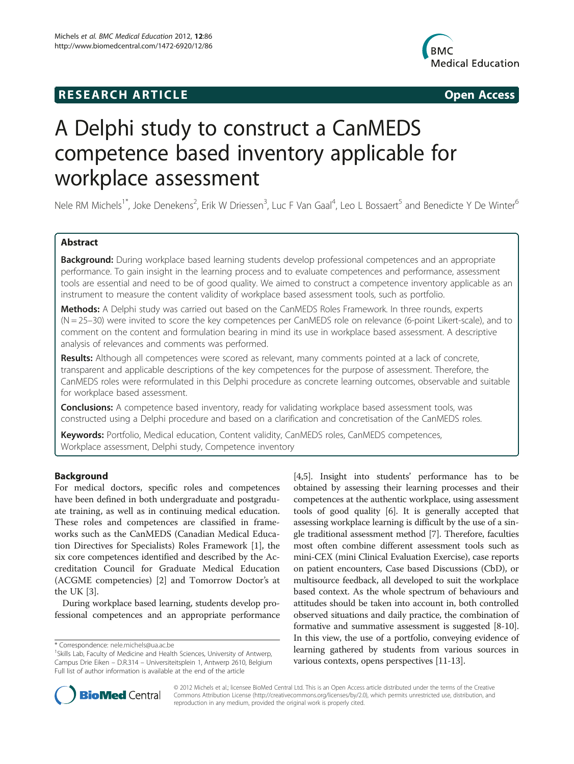## **RESEARCH ARTICLE Example 2014 The SEAR CH ACCESS**



# A Delphi study to construct a CanMEDS competence based inventory applicable for workplace assessment

Nele RM Michels<sup>1\*</sup>, Joke Denekens<sup>2</sup>, Erik W Driessen<sup>3</sup>, Luc F Van Gaal<sup>4</sup>, Leo L Bossaert<sup>5</sup> and Benedicte Y De Winter<sup>6</sup>

## Abstract

Background: During workplace based learning students develop professional competences and an appropriate performance. To gain insight in the learning process and to evaluate competences and performance, assessment tools are essential and need to be of good quality. We aimed to construct a competence inventory applicable as an instrument to measure the content validity of workplace based assessment tools, such as portfolio.

Methods: A Delphi study was carried out based on the CanMEDS Roles Framework. In three rounds, experts (N = 25–30) were invited to score the key competences per CanMEDS role on relevance (6-point Likert-scale), and to comment on the content and formulation bearing in mind its use in workplace based assessment. A descriptive analysis of relevances and comments was performed.

Results: Although all competences were scored as relevant, many comments pointed at a lack of concrete, transparent and applicable descriptions of the key competences for the purpose of assessment. Therefore, the CanMEDS roles were reformulated in this Delphi procedure as concrete learning outcomes, observable and suitable for workplace based assessment.

**Conclusions:** A competence based inventory, ready for validating workplace based assessment tools, was constructed using a Delphi procedure and based on a clarification and concretisation of the CanMEDS roles.

Keywords: Portfolio, Medical education, Content validity, CanMEDS roles, CanMEDS competences, Workplace assessment, Delphi study, Competence inventory

## Background

For medical doctors, specific roles and competences have been defined in both undergraduate and postgraduate training, as well as in continuing medical education. These roles and competences are classified in frameworks such as the CanMEDS (Canadian Medical Education Directives for Specialists) Roles Framework [[1\]](#page-7-0), the six core competences identified and described by the Accreditation Council for Graduate Medical Education (ACGME competencies) [\[2](#page-7-0)] and Tomorrow Doctor's at the UK [\[3](#page-7-0)].

During workplace based learning, students develop professional competences and an appropriate performance

[[4,5\]](#page-8-0). Insight into students' performance has to be obtained by assessing their learning processes and their competences at the authentic workplace, using assessment tools of good quality [\[6](#page-8-0)]. It is generally accepted that assessing workplace learning is difficult by the use of a single traditional assessment method [\[7](#page-8-0)]. Therefore, faculties most often combine different assessment tools such as mini-CEX (mini Clinical Evaluation Exercise), case reports on patient encounters, Case based Discussions (CbD), or multisource feedback, all developed to suit the workplace based context. As the whole spectrum of behaviours and attitudes should be taken into account in, both controlled observed situations and daily practice, the combination of formative and summative assessment is suggested [\[8](#page-8-0)-[10](#page-8-0)]. In this view, the use of a portfolio, conveying evidence of learning gathered by students from various sources in various contexts, opens perspectives [\[11-13\]](#page-8-0).



© 2012 Michels et al.; licensee BioMed Central Ltd. This is an Open Access article distributed under the terms of the Creative Commons Attribution License [\(http://creativecommons.org/licenses/by/2.0\)](http://creativecommons.org/licenses/by/2.0), which permits unrestricted use, distribution, and reproduction in any medium, provided the original work is properly cited.

<sup>\*</sup> Correspondence: [nele.michels@ua.ac.be](mailto:nele.michels@ua.ac.be) <sup>1</sup>

<sup>&</sup>lt;sup>1</sup>Skills Lab, Faculty of Medicine and Health Sciences, University of Antwerp, Campus Drie Eiken – D.R.314 – Universiteitsplein 1, Antwerp 2610, Belgium Full list of author information is available at the end of the article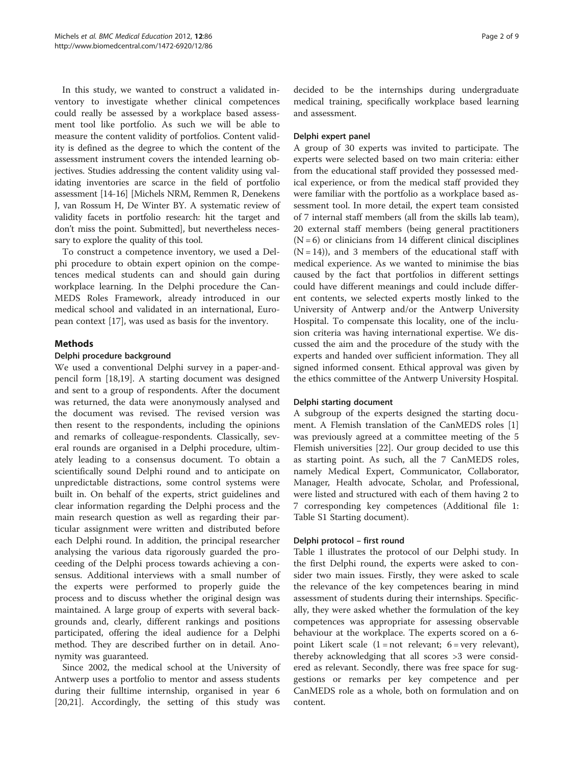In this study, we wanted to construct a validated inventory to investigate whether clinical competences could really be assessed by a workplace based assessment tool like portfolio. As such we will be able to measure the content validity of portfolios. Content validity is defined as the degree to which the content of the assessment instrument covers the intended learning objectives. Studies addressing the content validity using validating inventories are scarce in the field of portfolio assessment [\[14-16\]](#page-8-0) [Michels NRM, Remmen R, Denekens J, van Rossum H, De Winter BY. A systematic review of validity facets in portfolio research: hit the target and don't miss the point. Submitted], but nevertheless necessary to explore the quality of this tool.

To construct a competence inventory, we used a Delphi procedure to obtain expert opinion on the competences medical students can and should gain during workplace learning. In the Delphi procedure the Can-MEDS Roles Framework, already introduced in our medical school and validated in an international, European context [[17](#page-8-0)], was used as basis for the inventory.

## Methods

## Delphi procedure background

We used a conventional Delphi survey in a paper-andpencil form [[18](#page-8-0),[19](#page-8-0)]. A starting document was designed and sent to a group of respondents. After the document was returned, the data were anonymously analysed and the document was revised. The revised version was then resent to the respondents, including the opinions and remarks of colleague-respondents. Classically, several rounds are organised in a Delphi procedure, ultimately leading to a consensus document. To obtain a scientifically sound Delphi round and to anticipate on unpredictable distractions, some control systems were built in. On behalf of the experts, strict guidelines and clear information regarding the Delphi process and the main research question as well as regarding their particular assignment were written and distributed before each Delphi round. In addition, the principal researcher analysing the various data rigorously guarded the proceeding of the Delphi process towards achieving a consensus. Additional interviews with a small number of the experts were performed to properly guide the process and to discuss whether the original design was maintained. A large group of experts with several backgrounds and, clearly, different rankings and positions participated, offering the ideal audience for a Delphi method. They are described further on in detail. Anonymity was guaranteed.

Since 2002, the medical school at the University of Antwerp uses a portfolio to mentor and assess students during their fulltime internship, organised in year 6 [[20,21\]](#page-8-0). Accordingly, the setting of this study was

decided to be the internships during undergraduate medical training, specifically workplace based learning and assessment.

#### Delphi expert panel

A group of 30 experts was invited to participate. The experts were selected based on two main criteria: either from the educational staff provided they possessed medical experience, or from the medical staff provided they were familiar with the portfolio as a workplace based assessment tool. In more detail, the expert team consisted of 7 internal staff members (all from the skills lab team), 20 external staff members (being general practitioners  $(N = 6)$  or clinicians from 14 different clinical disciplines  $(N = 14)$ ), and 3 members of the educational staff with medical experience. As we wanted to minimise the bias caused by the fact that portfolios in different settings could have different meanings and could include different contents, we selected experts mostly linked to the University of Antwerp and/or the Antwerp University Hospital. To compensate this locality, one of the inclusion criteria was having international expertise. We discussed the aim and the procedure of the study with the experts and handed over sufficient information. They all signed informed consent. Ethical approval was given by the ethics committee of the Antwerp University Hospital.

## Delphi starting document

A subgroup of the experts designed the starting document. A Flemish translation of the CanMEDS roles [\[1](#page-7-0)] was previously agreed at a committee meeting of the 5 Flemish universities [\[22\]](#page-8-0). Our group decided to use this as starting point. As such, all the 7 CanMEDS roles, namely Medical Expert, Communicator, Collaborator, Manager, Health advocate, Scholar, and Professional, were listed and structured with each of them having 2 to 7 corresponding key competences (Additional file [1](#page-7-0): Table S1 Starting document).

## Delphi protocol – first round

Table [1](#page-2-0) illustrates the protocol of our Delphi study. In the first Delphi round, the experts were asked to consider two main issues. Firstly, they were asked to scale the relevance of the key competences bearing in mind assessment of students during their internships. Specifically, they were asked whether the formulation of the key competences was appropriate for assessing observable behaviour at the workplace. The experts scored on a 6 point Likert scale  $(1 = not$  relevant;  $6 = very$  relevant), thereby acknowledging that all scores >3 were considered as relevant. Secondly, there was free space for suggestions or remarks per key competence and per CanMEDS role as a whole, both on formulation and on content.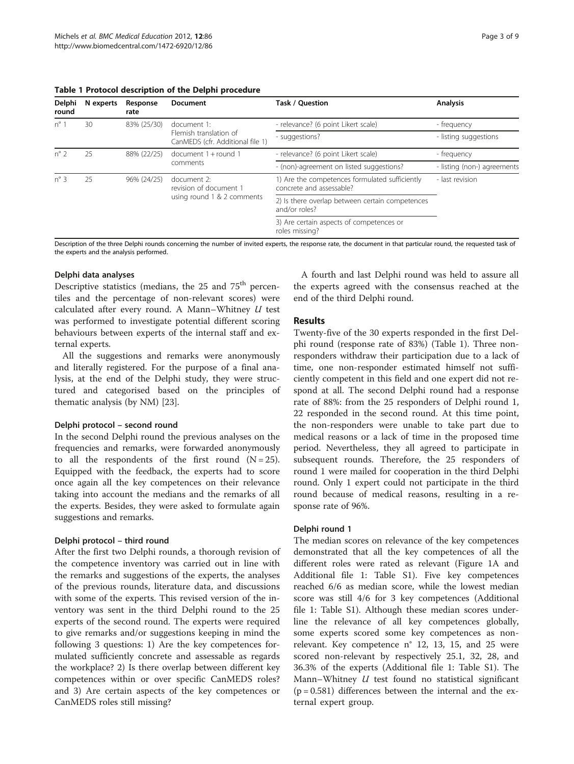<span id="page-2-0"></span>Table 1 Protocol description of the Delphi procedure

| Delphi<br>round | N experts | Response<br>rate | <b>Document</b>                                                           | Task / Ouestion                                                            | <b>Analysis</b>             |
|-----------------|-----------|------------------|---------------------------------------------------------------------------|----------------------------------------------------------------------------|-----------------------------|
| $n^{\circ}$ 1   | 30        | 83% (25/30)      | document 1:<br>Flemish translation of<br>CanMEDS (cfr. Additional file 1) | - relevance? (6 point Likert scale)                                        | - frequency                 |
|                 |           |                  |                                                                           | - suggestions?                                                             | - listing suggestions       |
| $n^{\circ}$ 2   | 25        | 88% (22/25)      | $document 1 + round 1$<br>comments                                        | - relevance? (6 point Likert scale)                                        | - frequency                 |
|                 |           |                  |                                                                           | - (non)-agreement on listed suggestions?                                   | - listing (non-) agreements |
| $n^{\circ}$ 3   | 25        | 96% (24/25)      | document 2:<br>revision of document 1<br>using round 1 & 2 comments       | 1) Are the competences formulated sufficiently<br>concrete and assessable? | - last revision             |
|                 |           |                  |                                                                           | 2) Is there overlap between certain competences<br>and/or roles?           |                             |
|                 |           |                  |                                                                           | 3) Are certain aspects of competences or<br>roles missing?                 |                             |

Description of the three Delphi rounds concerning the number of invited experts, the response rate, the document in that particular round, the requested task of the experts and the analysis performed.

#### Delphi data analyses

Descriptive statistics (medians, the  $25$  and  $75<sup>th</sup>$  percentiles and the percentage of non-relevant scores) were calculated after every round. A Mann–Whitney  $U$  test was performed to investigate potential different scoring behaviours between experts of the internal staff and external experts.

All the suggestions and remarks were anonymously and literally registered. For the purpose of a final analysis, at the end of the Delphi study, they were structured and categorised based on the principles of thematic analysis (by NM) [\[23\]](#page-8-0).

#### Delphi protocol – second round

In the second Delphi round the previous analyses on the frequencies and remarks, were forwarded anonymously to all the respondents of the first round  $(N = 25)$ . Equipped with the feedback, the experts had to score once again all the key competences on their relevance taking into account the medians and the remarks of all the experts. Besides, they were asked to formulate again suggestions and remarks.

#### Delphi protocol – third round

After the first two Delphi rounds, a thorough revision of the competence inventory was carried out in line with the remarks and suggestions of the experts, the analyses of the previous rounds, literature data, and discussions with some of the experts. This revised version of the inventory was sent in the third Delphi round to the 25 experts of the second round. The experts were required to give remarks and/or suggestions keeping in mind the following 3 questions: 1) Are the key competences formulated sufficiently concrete and assessable as regards the workplace? 2) Is there overlap between different key competences within or over specific CanMEDS roles? and 3) Are certain aspects of the key competences or CanMEDS roles still missing?

A fourth and last Delphi round was held to assure all the experts agreed with the consensus reached at the end of the third Delphi round.

#### Results

Twenty-five of the 30 experts responded in the first Delphi round (response rate of 83%) (Table 1). Three nonresponders withdraw their participation due to a lack of time, one non-responder estimated himself not sufficiently competent in this field and one expert did not respond at all. The second Delphi round had a response rate of 88%: from the 25 responders of Delphi round 1, 22 responded in the second round. At this time point, the non-responders were unable to take part due to medical reasons or a lack of time in the proposed time period. Nevertheless, they all agreed to participate in subsequent rounds. Therefore, the 25 responders of round 1 were mailed for cooperation in the third Delphi round. Only 1 expert could not participate in the third round because of medical reasons, resulting in a response rate of 96%.

#### Delphi round 1

The median scores on relevance of the key competences demonstrated that all the key competences of all the different roles were rated as relevant (Figure [1](#page-3-0)A and Additional file [1:](#page-7-0) Table S1). Five key competences reached 6/6 as median score, while the lowest median score was still 4/6 for 3 key competences (Additional file [1](#page-7-0): Table S1). Although these median scores underline the relevance of all key competences globally, some experts scored some key competences as nonrelevant. Key competence n° 12, 13, 15, and 25 were scored non-relevant by respectively 25.1, 32, 28, and 36.3% of the experts (Additional file 1: Table S1). The Mann–Whitney U test found no statistical significant  $(p = 0.581)$  differences between the internal and the external expert group.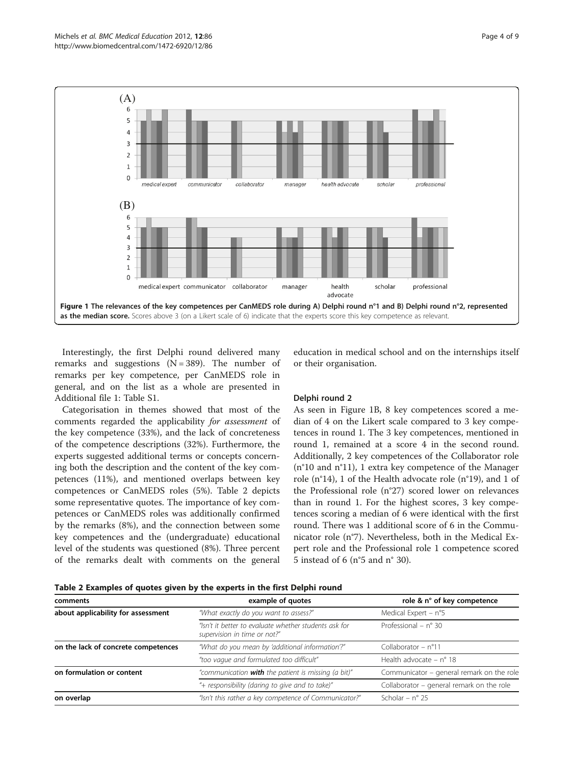<span id="page-3-0"></span>

Interestingly, the first Delphi round delivered many remarks and suggestions  $(N = 389)$ . The number of remarks per key competence, per CanMEDS role in general, and on the list as a whole are presented in Additional file [1:](#page-7-0) Table S1.

Categorisation in themes showed that most of the comments regarded the applicability for assessment of the key competence (33%), and the lack of concreteness of the competence descriptions (32%). Furthermore, the experts suggested additional terms or concepts concerning both the description and the content of the key competences (11%), and mentioned overlaps between key competences or CanMEDS roles (5%). Table 2 depicts some representative quotes. The importance of key competences or CanMEDS roles was additionally confirmed by the remarks (8%), and the connection between some key competences and the (undergraduate) educational level of the students was questioned (8%). Three percent of the remarks dealt with comments on the general

education in medical school and on the internships itself or their organisation.

## Delphi round 2

As seen in Figure 1B, 8 key competences scored a median of 4 on the Likert scale compared to 3 key competences in round 1. The 3 key competences, mentioned in round 1, remained at a score 4 in the second round. Additionally, 2 key competences of the Collaborator role (n°10 and n°11), 1 extra key competence of the Manager role (n°14), 1 of the Health advocate role (n°19), and 1 of the Professional role (n°27) scored lower on relevances than in round 1. For the highest scores, 3 key competences scoring a median of 6 were identical with the first round. There was 1 additional score of 6 in the Communicator role (n°7). Nevertheless, both in the Medical Expert role and the Professional role 1 competence scored 5 instead of 6 (n°5 and n° 30).

Table 2 Examples of quotes given by the experts in the first Delphi round

| comments                            | example of quotes                                                                     | role & n° of key competence               |  |
|-------------------------------------|---------------------------------------------------------------------------------------|-------------------------------------------|--|
| about applicability for assessment  | "What exactly do you want to assess?"                                                 | Medical Expert $- n^{\circ}5$             |  |
|                                     | "Isn't it better to evaluate whether students ask for<br>supervision in time or not?" | Professional – $n^{\circ}$ 30             |  |
| on the lack of concrete competences | "What do you mean by 'additional information'?"                                       | Collaborator $- n^{\circ}11$              |  |
|                                     | "too vague and formulated too difficult"                                              | Health advocate $-$ n° 18                 |  |
| on formulation or content           | "communication with the patient is missing (a bit)"                                   | Communicator – general remark on the role |  |
|                                     | "+ responsibility (daring to give and to take)"                                       | Collaborator – general remark on the role |  |
| on overlap                          | "Isn't this rather a key competence of Communicator?"                                 | Scholar – $n^{\circ}$ 25                  |  |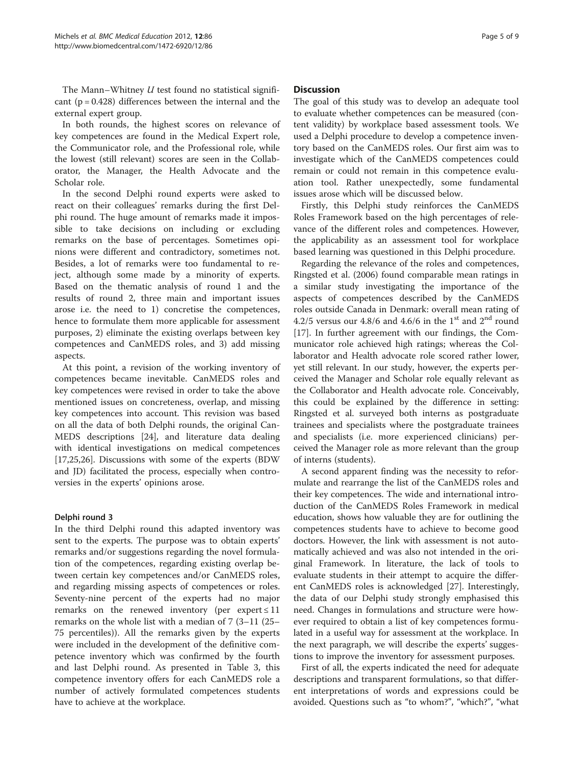The Mann–Whitney  $U$  test found no statistical significant  $(p = 0.428)$  differences between the internal and the external expert group.

In both rounds, the highest scores on relevance of key competences are found in the Medical Expert role, the Communicator role, and the Professional role, while the lowest (still relevant) scores are seen in the Collaborator, the Manager, the Health Advocate and the Scholar role.

In the second Delphi round experts were asked to react on their colleagues' remarks during the first Delphi round. The huge amount of remarks made it impossible to take decisions on including or excluding remarks on the base of percentages. Sometimes opinions were different and contradictory, sometimes not. Besides, a lot of remarks were too fundamental to reject, although some made by a minority of experts. Based on the thematic analysis of round 1 and the results of round 2, three main and important issues arose i.e. the need to 1) concretise the competences, hence to formulate them more applicable for assessment purposes, 2) eliminate the existing overlaps between key competences and CanMEDS roles, and 3) add missing aspects.

At this point, a revision of the working inventory of competences became inevitable. CanMEDS roles and key competences were revised in order to take the above mentioned issues on concreteness, overlap, and missing key competences into account. This revision was based on all the data of both Delphi rounds, the original Can-MEDS descriptions [\[24](#page-8-0)], and literature data dealing with identical investigations on medical competences [[17,25,26\]](#page-8-0). Discussions with some of the experts (BDW and JD) facilitated the process, especially when controversies in the experts' opinions arose.

## Delphi round 3

In the third Delphi round this adapted inventory was sent to the experts. The purpose was to obtain experts' remarks and/or suggestions regarding the novel formulation of the competences, regarding existing overlap between certain key competences and/or CanMEDS roles, and regarding missing aspects of competences or roles. Seventy-nine percent of the experts had no major remarks on the renewed inventory (per expert  $\leq 11$ remarks on the whole list with a median of 7 (3–11 (25– 75 percentiles)). All the remarks given by the experts were included in the development of the definitive competence inventory which was confirmed by the fourth and last Delphi round. As presented in Table [3](#page-5-0), this competence inventory offers for each CanMEDS role a number of actively formulated competences students have to achieve at the workplace.

#### **Discussion**

The goal of this study was to develop an adequate tool to evaluate whether competences can be measured (content validity) by workplace based assessment tools. We used a Delphi procedure to develop a competence inventory based on the CanMEDS roles. Our first aim was to investigate which of the CanMEDS competences could remain or could not remain in this competence evaluation tool. Rather unexpectedly, some fundamental issues arose which will be discussed below.

Firstly, this Delphi study reinforces the CanMEDS Roles Framework based on the high percentages of relevance of the different roles and competences. However, the applicability as an assessment tool for workplace based learning was questioned in this Delphi procedure.

Regarding the relevance of the roles and competences, Ringsted et al. (2006) found comparable mean ratings in a similar study investigating the importance of the aspects of competences described by the CanMEDS roles outside Canada in Denmark: overall mean rating of 4.2/5 versus our 4.8/6 and 4.6/6 in the  $1<sup>st</sup>$  and  $2<sup>nd</sup>$  round [[17\]](#page-8-0). In further agreement with our findings, the Communicator role achieved high ratings; whereas the Collaborator and Health advocate role scored rather lower, yet still relevant. In our study, however, the experts perceived the Manager and Scholar role equally relevant as the Collaborator and Health advocate role. Conceivably, this could be explained by the difference in setting: Ringsted et al. surveyed both interns as postgraduate trainees and specialists where the postgraduate trainees and specialists (i.e. more experienced clinicians) perceived the Manager role as more relevant than the group of interns (students).

A second apparent finding was the necessity to reformulate and rearrange the list of the CanMEDS roles and their key competences. The wide and international introduction of the CanMEDS Roles Framework in medical education, shows how valuable they are for outlining the competences students have to achieve to become good doctors. However, the link with assessment is not automatically achieved and was also not intended in the original Framework. In literature, the lack of tools to evaluate students in their attempt to acquire the different CanMEDS roles is acknowledged [[27](#page-8-0)]. Interestingly, the data of our Delphi study strongly emphasised this need. Changes in formulations and structure were however required to obtain a list of key competences formulated in a useful way for assessment at the workplace. In the next paragraph, we will describe the experts' suggestions to improve the inventory for assessment purposes.

First of all, the experts indicated the need for adequate descriptions and transparent formulations, so that different interpretations of words and expressions could be avoided. Questions such as "to whom?", "which?", "what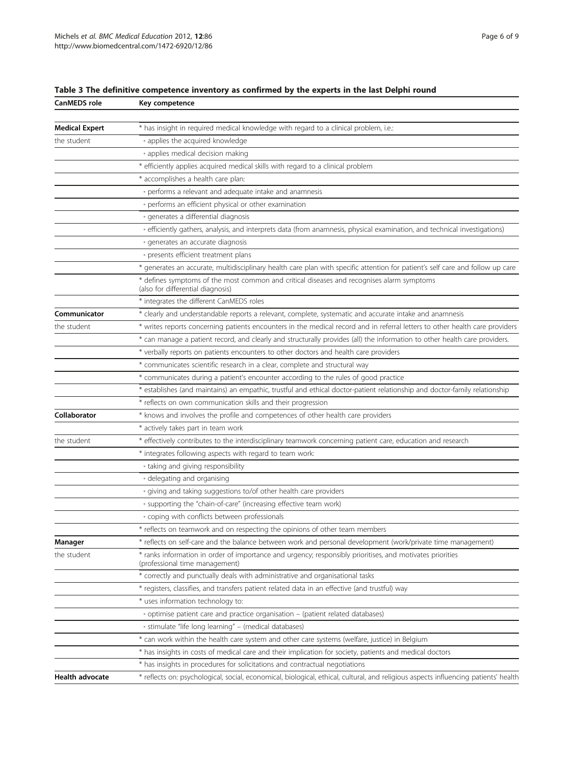| Key competence                                                                                                                              |  |  |  |
|---------------------------------------------------------------------------------------------------------------------------------------------|--|--|--|
|                                                                                                                                             |  |  |  |
| * has insight in required medical knowledge with regard to a clinical problem, i.e.:                                                        |  |  |  |
| • applies the acquired knowledge                                                                                                            |  |  |  |
| · applies medical decision making                                                                                                           |  |  |  |
| * efficiently applies acquired medical skills with regard to a clinical problem                                                             |  |  |  |
| * accomplishes a health care plan:                                                                                                          |  |  |  |
| · performs a relevant and adequate intake and anamnesis                                                                                     |  |  |  |
| · performs an efficient physical or other examination                                                                                       |  |  |  |
| · generates a differential diagnosis                                                                                                        |  |  |  |
| · efficiently gathers, analysis, and interprets data (from anamnesis, physical examination, and technical investigations)                   |  |  |  |
| · generates an accurate diagnosis                                                                                                           |  |  |  |
| · presents efficient treatment plans                                                                                                        |  |  |  |
| * generates an accurate, multidisciplinary health care plan with specific attention for patient's self care and follow up care              |  |  |  |
| * defines symptoms of the most common and critical diseases and recognises alarm symptoms<br>(also for differential diagnosis)              |  |  |  |
| * integrates the different CanMEDS roles                                                                                                    |  |  |  |
| * clearly and understandable reports a relevant, complete, systematic and accurate intake and anamnesis                                     |  |  |  |
| * writes reports concerning patients encounters in the medical record and in referral letters to other health care providers                |  |  |  |
| * can manage a patient record, and clearly and structurally provides (all) the information to other health care providers.                  |  |  |  |
| * verbally reports on patients encounters to other doctors and health care providers                                                        |  |  |  |
| * communicates scientific research in a clear, complete and structural way                                                                  |  |  |  |
| * communicates during a patient's encounter according to the rules of good practice                                                         |  |  |  |
| * establishes (and maintains) an empathic, trustful and ethical doctor-patient relationship and doctor-family relationship                  |  |  |  |
| * reflects on own communication skills and their progression                                                                                |  |  |  |
| * knows and involves the profile and competences of other health care providers                                                             |  |  |  |
| * actively takes part in team work                                                                                                          |  |  |  |
| * effectively contributes to the interdisciplinary teamwork concerning patient care, education and research                                 |  |  |  |
| * integrates following aspects with regard to team work:                                                                                    |  |  |  |
| • taking and giving responsibility                                                                                                          |  |  |  |
| • delegating and organising                                                                                                                 |  |  |  |
| · giving and taking suggestions to/of other health care providers                                                                           |  |  |  |
| · supporting the "chain-of-care" (increasing effective team work)                                                                           |  |  |  |
| • coping with conflicts between professionals                                                                                               |  |  |  |
| * reflects on teamwork and on respecting the opinions of other team members                                                                 |  |  |  |
| * reflects on self-care and the balance between work and personal development (work/private time management)                                |  |  |  |
| * ranks information in order of importance and urgency; responsibly prioritises, and motivates priorities<br>(professional time management) |  |  |  |
| * correctly and punctually deals with administrative and organisational tasks                                                               |  |  |  |
| * registers, classifies, and transfers patient related data in an effective (and trustful) way                                              |  |  |  |
| * uses information technology to:                                                                                                           |  |  |  |
| · optimise patient care and practice organisation - (patient related databases)                                                             |  |  |  |
| · stimulate "life long learning" – (medical databases)                                                                                      |  |  |  |
| * can work within the health care system and other care systems (welfare, justice) in Belgium                                               |  |  |  |
| * has insights in costs of medical care and their implication for society, patients and medical doctors                                     |  |  |  |
| * has insights in procedures for solicitations and contractual negotiations                                                                 |  |  |  |
| * reflects on: psychological, social, economical, biological, ethical, cultural, and religious aspects influencing patients' health         |  |  |  |
|                                                                                                                                             |  |  |  |

## <span id="page-5-0"></span>Table 3 The definitive competence inventory as confirmed by the experts in the last Delphi round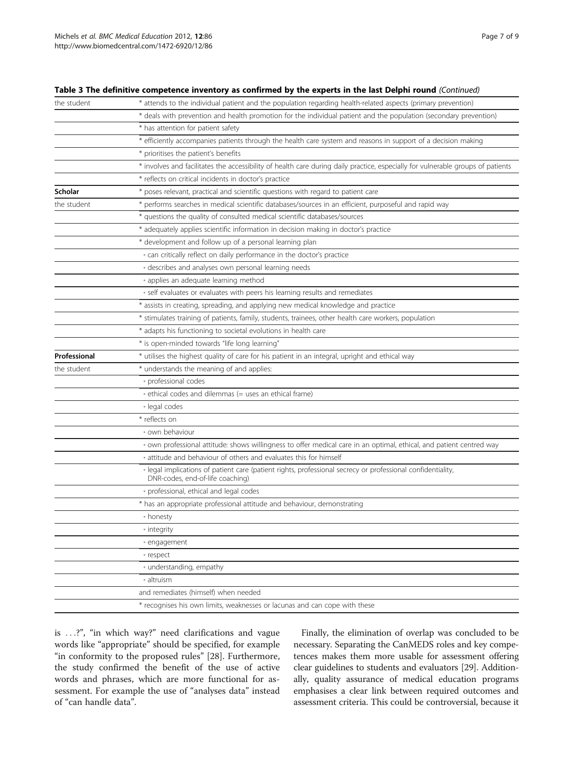| the student  | * attends to the individual patient and the population regarding health-related aspects (primary prevention)                                    |  |  |  |  |
|--------------|-------------------------------------------------------------------------------------------------------------------------------------------------|--|--|--|--|
|              | * deals with prevention and health promotion for the individual patient and the population (secondary prevention)                               |  |  |  |  |
|              | * has attention for patient safety                                                                                                              |  |  |  |  |
|              | * efficiently accompanies patients through the health care system and reasons in support of a decision making                                   |  |  |  |  |
|              | * prioritises the patient's benefits                                                                                                            |  |  |  |  |
|              | * involves and facilitates the accessibility of health care during daily practice, especially for vulnerable groups of patients                 |  |  |  |  |
|              | * reflects on critical incidents in doctor's practice                                                                                           |  |  |  |  |
| Scholar      | * poses relevant, practical and scientific questions with regard to patient care                                                                |  |  |  |  |
| the student  | * performs searches in medical scientific databases/sources in an efficient, purposeful and rapid way                                           |  |  |  |  |
|              | * questions the quality of consulted medical scientific databases/sources                                                                       |  |  |  |  |
|              | * adequately applies scientific information in decision making in doctor's practice                                                             |  |  |  |  |
|              | * development and follow up of a personal learning plan                                                                                         |  |  |  |  |
|              | · can critically reflect on daily performance in the doctor's practice                                                                          |  |  |  |  |
|              | · describes and analyses own personal learning needs                                                                                            |  |  |  |  |
|              | • applies an adequate learning method                                                                                                           |  |  |  |  |
|              | · self evaluates or evaluates with peers his learning results and remediates                                                                    |  |  |  |  |
|              | * assists in creating, spreading, and applying new medical knowledge and practice                                                               |  |  |  |  |
|              | * stimulates training of patients, family, students, trainees, other health care workers, population                                            |  |  |  |  |
|              | * adapts his functioning to societal evolutions in health care                                                                                  |  |  |  |  |
|              | * is open-minded towards "life long learning"                                                                                                   |  |  |  |  |
| Professional | * utilises the highest quality of care for his patient in an integral, upright and ethical way                                                  |  |  |  |  |
| the student  | * understands the meaning of and applies:                                                                                                       |  |  |  |  |
|              | · professional codes                                                                                                                            |  |  |  |  |
|              | • ethical codes and dilemmas (= uses an ethical frame)                                                                                          |  |  |  |  |
|              | · legal codes                                                                                                                                   |  |  |  |  |
|              | * reflects on                                                                                                                                   |  |  |  |  |
|              | • own behaviour                                                                                                                                 |  |  |  |  |
|              | · own professional attitude: shows willingness to offer medical care in an optimal, ethical, and patient centred way                            |  |  |  |  |
|              | · attitude and behaviour of others and evaluates this for himself                                                                               |  |  |  |  |
|              | · legal implications of patient care (patient rights, professional secrecy or professional confidentiality,<br>DNR-codes, end-of-life coaching) |  |  |  |  |
|              | · professional, ethical and legal codes                                                                                                         |  |  |  |  |
|              | * has an appropriate professional attitude and behaviour, demonstrating                                                                         |  |  |  |  |
|              | • honesty                                                                                                                                       |  |  |  |  |
|              | • integrity                                                                                                                                     |  |  |  |  |
|              | · engagement                                                                                                                                    |  |  |  |  |
|              | • respect                                                                                                                                       |  |  |  |  |
|              | · understanding, empathy                                                                                                                        |  |  |  |  |
|              | • altruism                                                                                                                                      |  |  |  |  |
|              | and remediates (himself) when needed                                                                                                            |  |  |  |  |
|              | * recognises his own limits, weaknesses or lacunas and can cope with these                                                                      |  |  |  |  |
|              |                                                                                                                                                 |  |  |  |  |

Table 3 The definitive competence inventory as confirmed by the experts in the last Delphi round (Continued)

is ...?", "in which way?" need clarifications and vague words like "appropriate" should be specified, for example "in conformity to the proposed rules" [[28\]](#page-8-0). Furthermore, the study confirmed the benefit of the use of active words and phrases, which are more functional for assessment. For example the use of "analyses data" instead of "can handle data".

Finally, the elimination of overlap was concluded to be necessary. Separating the CanMEDS roles and key competences makes them more usable for assessment offering clear guidelines to students and evaluators [[29](#page-8-0)]. Additionally, quality assurance of medical education programs emphasises a clear link between required outcomes and assessment criteria. This could be controversial, because it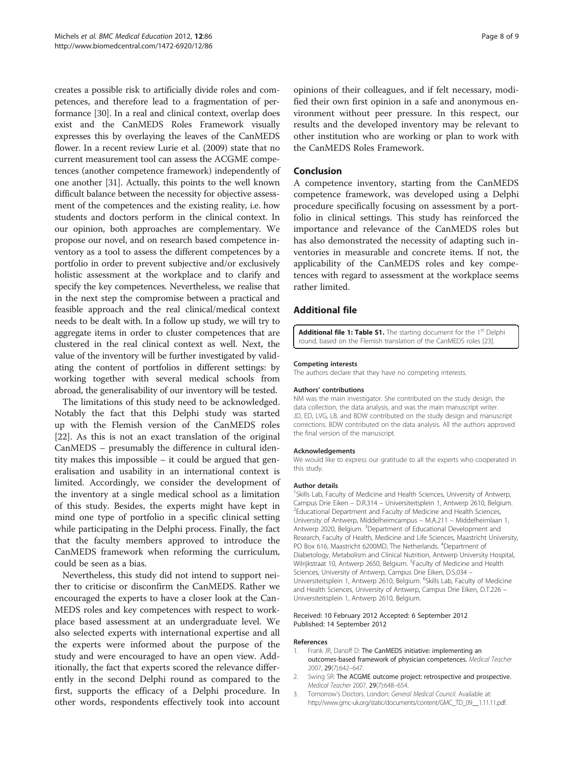<span id="page-7-0"></span>creates a possible risk to artificially divide roles and competences, and therefore lead to a fragmentation of performance [[30](#page-8-0)]. In a real and clinical context, overlap does exist and the CanMEDS Roles Framework visually expresses this by overlaying the leaves of the CanMEDS flower. In a recent review Lurie et al. (2009) state that no current measurement tool can assess the ACGME competences (another competence framework) independently of one another [\[31](#page-8-0)]. Actually, this points to the well known difficult balance between the necessity for objective assessment of the competences and the existing reality, i.e. how students and doctors perform in the clinical context. In our opinion, both approaches are complementary. We propose our novel, and on research based competence inventory as a tool to assess the different competences by a portfolio in order to prevent subjective and/or exclusively holistic assessment at the workplace and to clarify and specify the key competences. Nevertheless, we realise that in the next step the compromise between a practical and feasible approach and the real clinical/medical context needs to be dealt with. In a follow up study, we will try to aggregate items in order to cluster competences that are clustered in the real clinical context as well. Next, the value of the inventory will be further investigated by validating the content of portfolios in different settings: by working together with several medical schools from abroad, the generalisability of our inventory will be tested.

The limitations of this study need to be acknowledged. Notably the fact that this Delphi study was started up with the Flemish version of the CanMEDS roles [[22\]](#page-8-0). As this is not an exact translation of the original CanMEDS – presumably the difference in cultural identity makes this impossible – it could be argued that generalisation and usability in an international context is limited. Accordingly, we consider the development of the inventory at a single medical school as a limitation of this study. Besides, the experts might have kept in mind one type of portfolio in a specific clinical setting while participating in the Delphi process. Finally, the fact that the faculty members approved to introduce the CanMEDS framework when reforming the curriculum, could be seen as a bias.

Nevertheless, this study did not intend to support neither to criticise or disconfirm the CanMEDS. Rather we encouraged the experts to have a closer look at the Can-MEDS roles and key competences with respect to workplace based assessment at an undergraduate level. We also selected experts with international expertise and all the experts were informed about the purpose of the study and were encouraged to have an open view. Additionally, the fact that experts scored the relevance differently in the second Delphi round as compared to the first, supports the efficacy of a Delphi procedure. In other words, respondents effectively took into account opinions of their colleagues, and if felt necessary, modified their own first opinion in a safe and anonymous environment without peer pressure. In this respect, our results and the developed inventory may be relevant to other institution who are working or plan to work with the CanMEDS Roles Framework.

#### Conclusion

A competence inventory, starting from the CanMEDS competence framework, was developed using a Delphi procedure specifically focusing on assessment by a portfolio in clinical settings. This study has reinforced the importance and relevance of the CanMEDS roles but has also demonstrated the necessity of adapting such inventories in measurable and concrete items. If not, the applicability of the CanMEDS roles and key competences with regard to assessment at the workplace seems rather limited.

## Additional file

[Additional file 1: Table S1.](http://www.biomedcentral.com/content/supplementary/1472-6920-12-86-S1.docx) The starting document for the 1<sup>st</sup> Delphi round, based on the Flemish translation of the CanMEDS roles [23].

#### Competing interests

The authors declare that they have no competing interests.

#### Authors' contributions

NM was the main investigator. She contributed on the study design, the data collection, the data analysis, and was the main manuscript writer. JD, ED, LVG, LB, and BDW contributed on the study design and manuscript corrections. BDW contributed on the data analysis. All the authors approved the final version of the manuscript.

#### Acknowledgements

We would like to express our gratitude to all the experts who cooperated in this study.

#### Author details

<sup>1</sup>Skills Lab, Faculty of Medicine and Health Sciences, University of Antwerp, Campus Drie Eiken – D.R.314 – Universiteitsplein 1, Antwerp 2610, Belgium. <sup>2</sup> <sup>2</sup>Educational Department and Faculty of Medicine and Health Sciences, University of Antwerp, Middelheimcampus – M.A.211 – Middelheimlaan 1, Antwerp 2020, Belgium. <sup>3</sup>Department of Educational Development and Research, Faculty of Health, Medicine and Life Sciences, Maastricht University, PO Box 616, Maastricht 6200MD, The Netherlands. <sup>4</sup>Department of Diabetology, Metabolism and Clinical Nutrition, Antwerp University Hospital, Wilrijkstraat 10, Antwerp 2650, Belgium. <sup>5</sup>Faculty of Medicine and Health Sciences, University of Antwerp, Campus Drie Eiken, D.S.034 – Universiteitsplein 1, Antwerp 2610, Belgium. <sup>6</sup>Skills Lab, Faculty of Medicine and Health Sciences, University of Antwerp, Campus Drie Eiken, D.T.226 -Universiteitsplein 1, Antwerp 2610, Belgium.

#### Received: 10 February 2012 Accepted: 6 September 2012 Published: 14 September 2012

#### References

- 1. Frank JR, Danoff D: The CanMEDS initiative: implementing an outcomes-based framework of physician competences. Medical Teacher 2007, 29(7):642–647.
- 2. Swing SR: The ACGME outcome project: retrospective and prospective. Medical Teacher 2007, 29(7):648–654.
- 3. Tomorrow's Doctors. London: General Medical Council. Available at: [http://www.gmc-uk.org/static/documents/content/GMC\\_TD\\_09\\_\\_1.11.11.pdf.](http://www.gmc-uk.org/static/documents/content/GMC_TD_09__1.11.11.pdf)